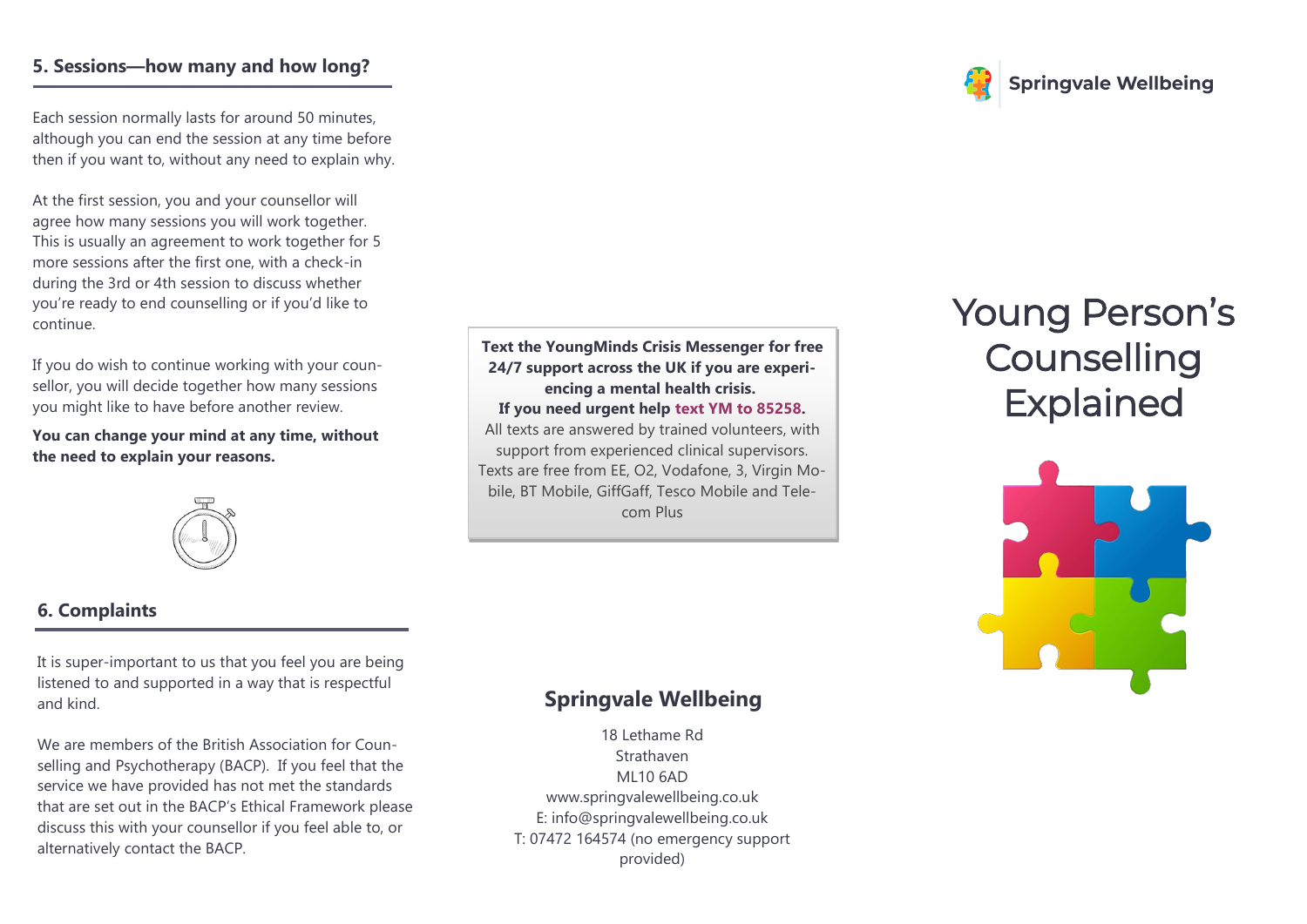#### **5. Sessions—how many and how long?**

Each session normally lasts for around 50 minutes, although you can end the session at any time before then if you want to, without any need to explain why.

At the first session, you and your counsellor will agree how many sessions you will work together. This is usually an agreement to work together for 5 more sessions after the first one, with a check-in during the 3rd or 4th session to discuss whether you're ready to end counselling or if you'd like to continue.

If you do wish to continue working with your counsellor, you will decide together how many sessions you might like to have before another review.

**You can change your mind at any time, without the need to explain your reasons.**



# **6. Complaints**

It is super-important to us that you feel you are being listened to and supported in a way that is respectful and kind.

We are members of the British Association for Counselling and Psychotherapy (BACP). If you feel that the service we have provided has not met the standards that are set out in the BACP's Ethical Framework please discuss this with your counsellor if you feel able to, or alternatively contact the BACP.

**Text the YoungMinds Crisis Messenger for free 24/7 support across the UK if you are experiencing a mental health crisis.**

**If you need urgent help text YM to 85258.**

All texts are answered by trained volunteers, with support from experienced clinical supervisors. Texts are free from EE, O2, Vodafone, 3, Virgin Mobile, BT Mobile, GiffGaff, Tesco Mobile and Telecom Plus

## Young Person's **Counselling** Explained

**Springvale Wellbeing** 



### **Springvale Wellbeing**

18 Lethame Rd Strathaven ML10 6AD www.springvalewellbeing.co.uk E: info@springvalewellbeing.co.uk T: 07472 164574 (no emergency support provided)